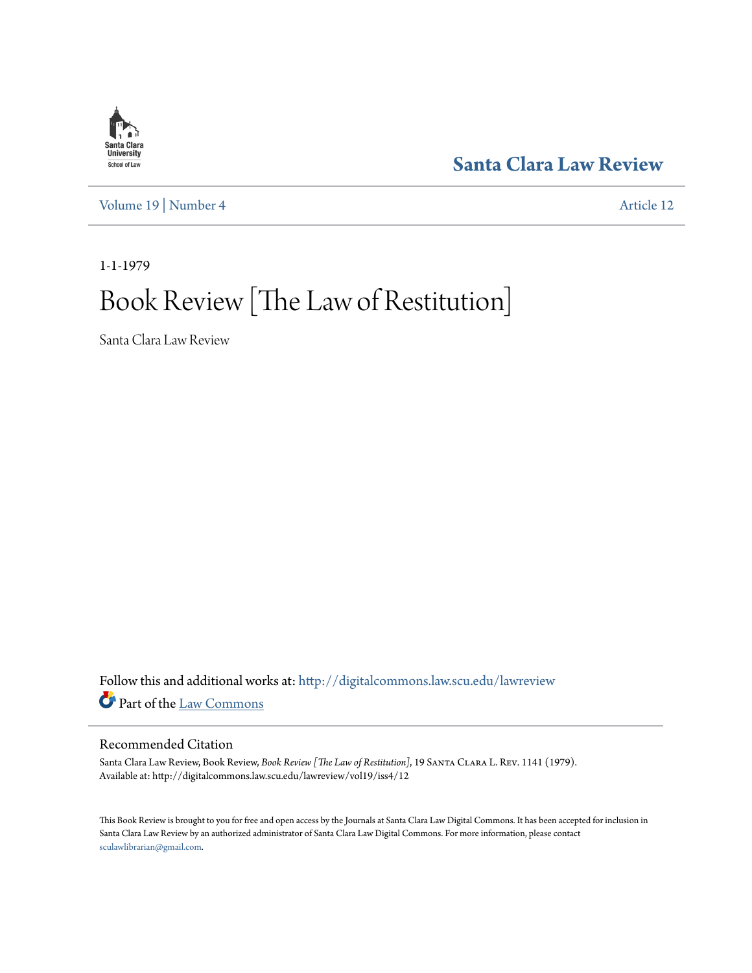

**[Santa Clara Law Review](http://digitalcommons.law.scu.edu/lawreview?utm_source=digitalcommons.law.scu.edu%2Flawreview%2Fvol19%2Fiss4%2F12&utm_medium=PDF&utm_campaign=PDFCoverPages)**

[Volume 19](http://digitalcommons.law.scu.edu/lawreview/vol19?utm_source=digitalcommons.law.scu.edu%2Flawreview%2Fvol19%2Fiss4%2F12&utm_medium=PDF&utm_campaign=PDFCoverPages) | [Number 4](http://digitalcommons.law.scu.edu/lawreview/vol19/iss4?utm_source=digitalcommons.law.scu.edu%2Flawreview%2Fvol19%2Fiss4%2F12&utm_medium=PDF&utm_campaign=PDFCoverPages) [Article 12](http://digitalcommons.law.scu.edu/lawreview/vol19/iss4/12?utm_source=digitalcommons.law.scu.edu%2Flawreview%2Fvol19%2Fiss4%2F12&utm_medium=PDF&utm_campaign=PDFCoverPages)

1-1-1979

## Book Review [The Law of Restitution]

Santa Clara Law Review

Follow this and additional works at: [http://digitalcommons.law.scu.edu/lawreview](http://digitalcommons.law.scu.edu/lawreview?utm_source=digitalcommons.law.scu.edu%2Flawreview%2Fvol19%2Fiss4%2F12&utm_medium=PDF&utm_campaign=PDFCoverPages) Part of the [Law Commons](http://network.bepress.com/hgg/discipline/578?utm_source=digitalcommons.law.scu.edu%2Flawreview%2Fvol19%2Fiss4%2F12&utm_medium=PDF&utm_campaign=PDFCoverPages)

## Recommended Citation

Santa Clara Law Review, Book Review, *Book Review [The Law of Restitution]*, 19 Santa Clara L. Rev. 1141 (1979). Available at: http://digitalcommons.law.scu.edu/lawreview/vol19/iss4/12

This Book Review is brought to you for free and open access by the Journals at Santa Clara Law Digital Commons. It has been accepted for inclusion in Santa Clara Law Review by an authorized administrator of Santa Clara Law Digital Commons. For more information, please contact [sculawlibrarian@gmail.com](mailto:sculawlibrarian@gmail.com).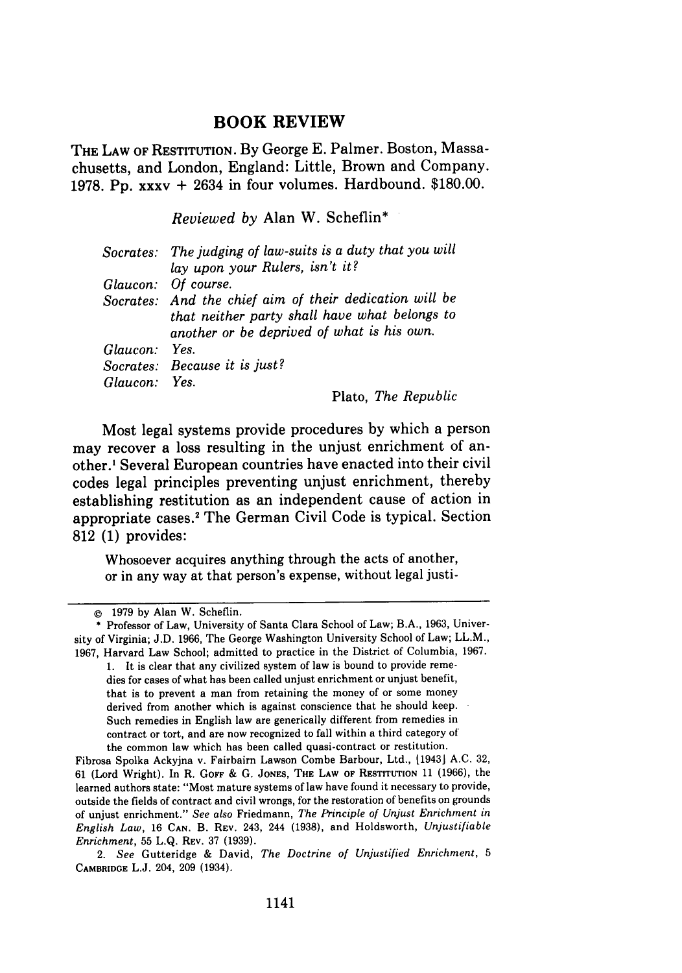## **BOOK REVIEW**

**THE LAW OF RESTITUTION. By** George **E.** Palmer. Boston, Massachusetts, and London, England: Little, Brown and Company. **1978. Pp.** xxxv **+** 2634 in four volumes. Hardbound. **\$180.00.**

*Reviewed by* Alan W. Scheflin\*

|               | Socrates: The judging of law-suits is a duty that you will                                                                                             |
|---------------|--------------------------------------------------------------------------------------------------------------------------------------------------------|
|               | lay upon your Rulers, isn't it?                                                                                                                        |
|               | Glaucon: Of course.                                                                                                                                    |
|               | Socrates: And the chief aim of their dedication will be<br>that neither party shall have what belongs to<br>another or be deprived of what is his own. |
| Glaucon:      | Yes.                                                                                                                                                   |
|               | Socrates: Because it is just?                                                                                                                          |
| Glaucon: Yes. |                                                                                                                                                        |
|               | Plato, The Republic                                                                                                                                    |

Most legal systems provide procedures **by** which a person may recover a loss resulting in the unjust enrichment of another.' Several European countries have enacted into their civil codes legal principles preventing unjust enrichment, thereby establishing restitution as an independent cause of action in appropriate cases.2 The German Civil Code is typical. Section **812 (1)** provides:

Whosoever acquires anything through the acts of another, or in any way at that person's expense, without legal justi-

1. It is clear that any civilized system of law is bound to provide remedies for cases of what has been called unjust enrichment or unjust benefit, that is to prevent a man from retaining the money of or some money derived from another which is against conscience that he should keep. Such remedies in English law are generically different from remedies in contract or tort, and are now recognized to fall within a third category of the common law which has been called quasi-contract or restitution.

Fibrosa Spolka Ackyjna v. Fairbairn Lawson Combe Barbour, Ltd., [1943J A.C. 32, **61** (Lord Wright). In R. **GOFF** & **G. JONES,** THE **LAW** OF **RESTrrUTION** 11 **(1966),** the learned authors state: "Most mature systems of law have found it necessary to provide, outside the fields of contract and civil wrongs, for the restoration of benefits on grounds of unjust enrichment." *See also* Friedmann, *The Principle of Unjust Enrichment in English Law,* **16 CAN.** B. **REV.** 243, 244 **(1938),** and Holdsworth, *Unjustifiable Enrichment,* **55 L.Q. REV. 37 (1939).**

*2. See* Gutteridge **&** David, *The Doctrine of Unjustified Enrichment,* **5 CAMBRIDGE L.J.** 204, **209** (1934).

<sup>© 1979</sup> by Alan W. Scheflin.

<sup>\*</sup> Professor of Law, University of Santa Clara School of Law; B.A., 1963, University of Virginia; J.D. 1966, The George Washington University School of Law; LL.M., 1967, Harvard Law School; admitted to practice in the District of Columbia, 1967.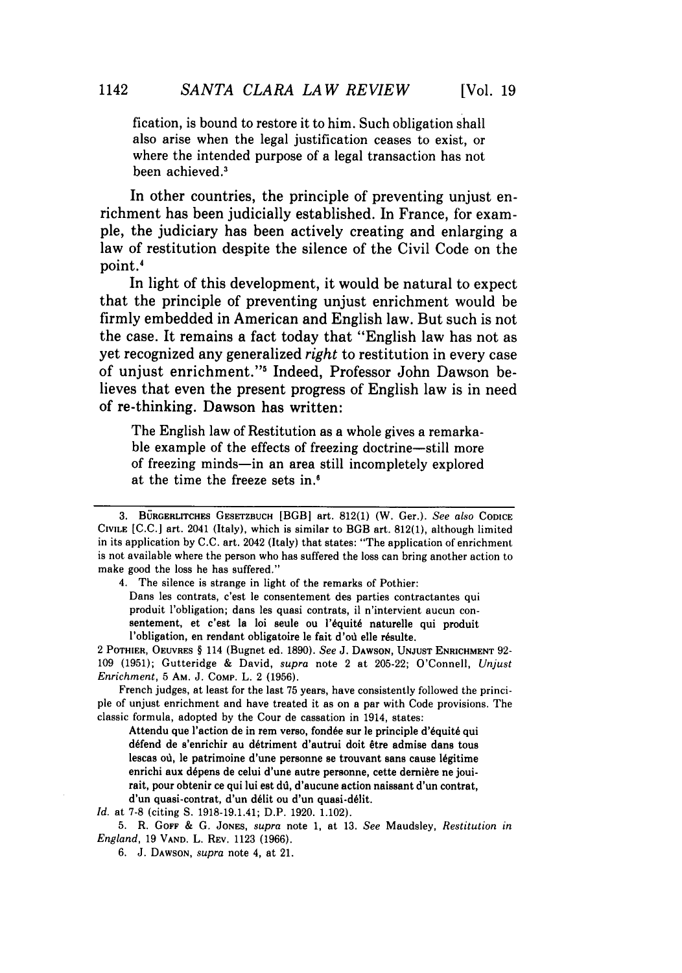fication, is bound to restore it to him. Such obligation shall also arise when the legal justification ceases to exist, or where the intended purpose of a legal transaction has not been achieved.<sup>3</sup>

In other countries, the principle of preventing unjust enrichment has been judicially established. In France, for example, the judiciary has been actively creating and enlarging a law of restitution despite the silence of the Civil Code on the point.4

In light of this development, it would be natural to expect that the principle of preventing unjust enrichment would be firmly embedded in American and English law. But such is not the case. It remains a fact today that "English law has not as yet recognized any generalized *right* to restitution in every case of unjust enrichment."5 Indeed, Professor John Dawson believes that even the present progress of English law is in need of re-thinking. Dawson has written:

The English law of Restitution as a whole gives a remarkable example of the effects of freezing doctrine-still more of freezing minds-in an area still incompletely explored at the time the freeze sets in.'

4. The silence is strange in light of the remarks of Pothier: Dans les contrats, c'est **le** consentement des parties contractantes qui produit l'obligation; dans **les** quasi contrats, il n'intervient aucun consentement, et c'est la loi seule ou l'équité naturelle qui produit l'obligation, en rendant obligatoire le fait d'où elle résulte.

2 POTHIER, **OEUVRES** § 114 (Bugnet **ed. 1890).** *See* **J. DAWSON, UNJUST ENRICHMENT 92- 109 (1951);** Gutteridge **&** David, *supra* note 2 at 205-22; O'Connell, *Unjust Enrichment,* 5 AM. **J.** COMP. L. 2 **(1956).**

French judges, at least for the last **75** years, have consistently followed the princi**ple** of unjust enrichment and have treated it as on a par with Code provisions. The classic formula, adopted **by** the Cour de cassation in 1914, states:

Attendu **que** l'action **de** in rem verso, fond6e sur **le** principle d'6quit6 qui ddfend **de** s'enrichir au ddtriment d'autrui doit 6tre admise **dans** tous lescas où, le patrimoine d'une personne se trouvant sans cause légitime enrichi aux dépens de celui d'une autre personne, cette dernière ne jouirait, pour obtenir ce qui lui **est dd,** d'aucune action naissant d'un contrat, d'un quasi-contrat, d'un délit ou d'un quasi-délit.

*Id.* at **7-8** (citing **S.** 1918-19.1.41; D.P. **1920.** 1.102).

**5.** R. **GOFF & G. JONES,** supra note 1, at 13. *See* Maudsley, *Restitution in England,* 19 **VAND.** L. REV. 1123 (1966).

6. J. DAWSON, *supra* note 4, at 21.

**<sup>3.</sup> BURGERLITCHES GESETZBUCH** [BGB] art. 812(1) (W. Ger.). *See also* **CODICE CIVILE [C.C.]** art. 2041 (Italy), which is similar to BGB art. **812(1),** although limited in its application **by C.C.** art. 2042 (Italy) that states: "The application of enrichment is not available where the person who has suffered the loss can bring another action to make good the loss he has suffered."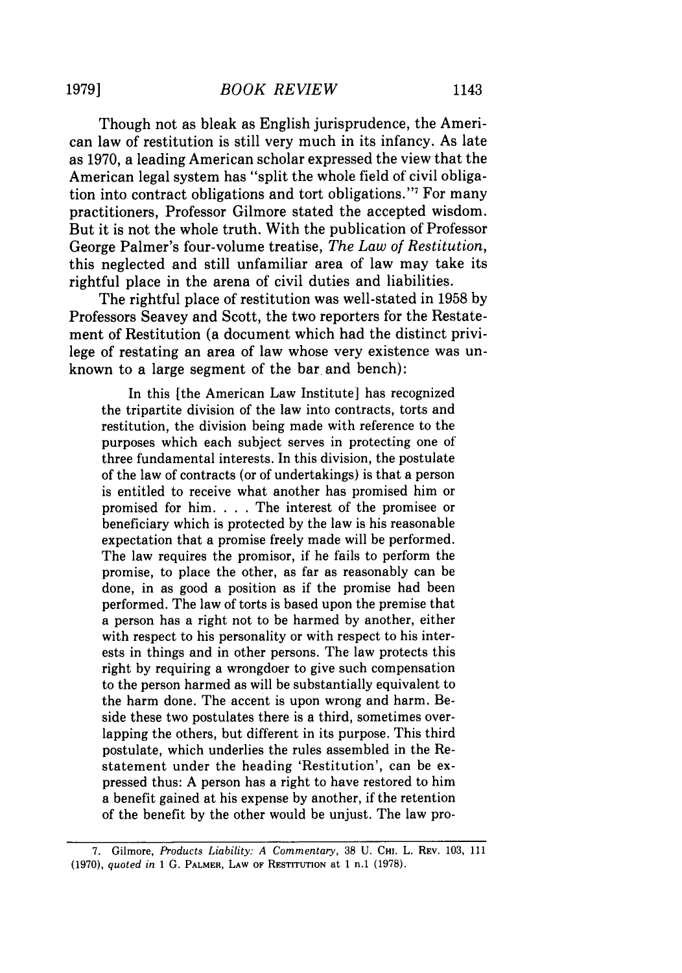Though not as bleak as English jurisprudence, the American law of restitution is still very much in its infancy. As late as 1970, a leading American scholar expressed the view that the American legal system has "split the whole field of civil obligation into contract obligations and tort obligations." 7 For many practitioners, Professor Gilmore stated the accepted wisdom. But it is not the whole truth. With the publication of Professor George Palmer's four-volume treatise, *The Law of Restitution,* this neglected and still unfamiliar area of law may take its rightful place in the arena of civil duties and liabilities.

The rightful place of restitution was well-stated in 1958 by Professors Seavey and Scott, the two reporters for the Restatement of Restitution (a document which had the distinct privilege of restating an area of law whose very existence was unknown to a large segment of the bar and bench):

In this [the American Law Institute] has recognized the tripartite division of the law into contracts, torts and restitution, the division being made with reference to the purposes which each subject serves in protecting one of three fundamental interests. In this division, the postulate of the law of contracts (or of undertakings) is that a person is entitled to receive what another has promised him or promised for him. . . The interest of the promisee or beneficiary which is protected by the law is his reasonable expectation that a promise freely made will be performed. The law requires the promisor, if he fails to perform the promise, to place the other, as far as reasonably can be done, in as good a position as if the promise had been performed. The law of torts is based upon the premise that a person has a right not to be harmed by another, either with respect to his personality or with respect to his interests in things and in other persons. The law protects this right by requiring a wrongdoer to give such compensation to the person harmed as will be substantially equivalent to the harm done. The accent is upon wrong and harm. Beside these two postulates there is a third, sometimes overlapping the others, but different in its purpose. This third postulate, which underlies the rules assembled in the Restatement under the heading 'Restitution', can be expressed thus: A person has a right to have restored to him a benefit gained at his expense by another, if the retention of the benefit by the other would be unjust. The law pro-

**<sup>7.</sup>** Gilmore, *Products Liability: A Commentary,* 38 U. **CHI.** L. **REV.** 103, 111 (1970), *quoted in* 1 G. PALMER, LAW **OF RESTITUTION** at 1 n.1 (1978).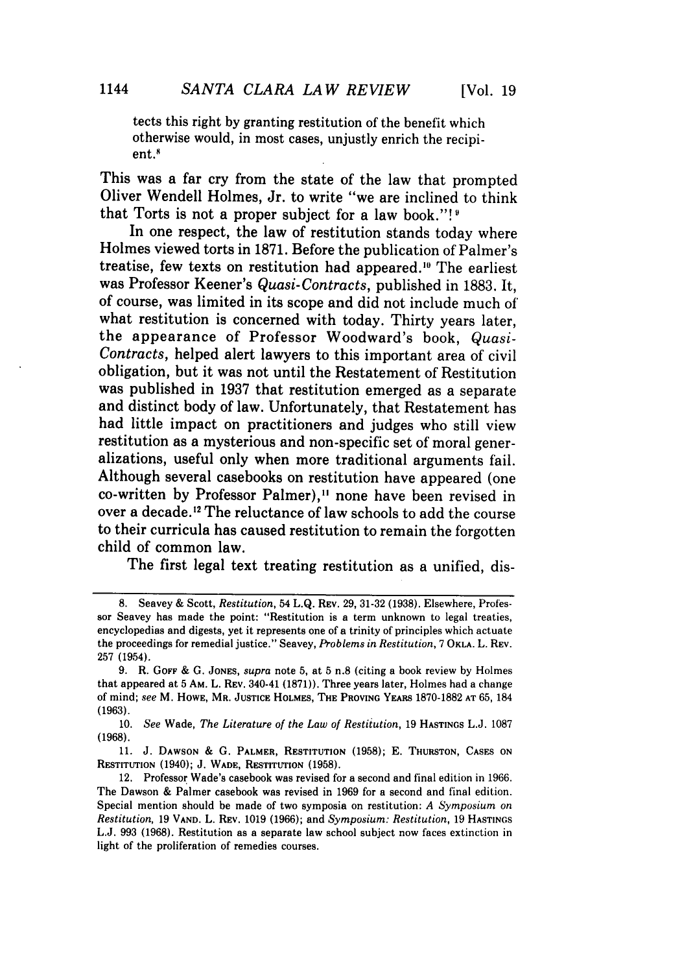tects this right by granting restitution of the benefit which otherwise would, in most cases, unjustly enrich the recipient.

This was a far cry from the state of the law that prompted Oliver Wendell Holmes, Jr. to write "we are inclined to think that Torts is not a proper subject for a law book."! **I**

In one respect, the law of restitution stands today where Holmes viewed torts in 1871. Before the publication of Palmer's treatise, few texts on restitution had appeared.'" The earliest was Professor Keener's *Quasi-Contracts,* published in 1883. It, of course, was limited in its scope and did not include much of what restitution is concerned with today. Thirty years later, the appearance of Professor Woodward's book, *Quasi-Contracts,* helped alert lawyers to this important area of civil obligation, but it was not until the Restatement of Restitution was published in 1937 that restitution emerged as a separate and distinct body of law. Unfortunately, that Restatement has had little impact on practitioners and judges who still view restitution as a mysterious and non-specific set of moral generalizations, useful only when more traditional arguments fail. Although several casebooks on restitution have appeared (one co-written by Professor Palmer)," none have been revised in over a decade.<sup>12</sup> The reluctance of law schools to add the course to their curricula has caused restitution to remain the forgotten child of common law.

The first legal text treating restitution as a unified, dis-

<sup>8.</sup> Seavey & Scott, *Restitution,* 54 L.Q. REV. 29, 31-32 (1938). Elsewhere, Professor Seavey has made the point: "Restitution is a term unknown to legal treaties, encyclopedias and digests, yet it represents one of a trinity of principles which actuate the proceedings for remedial justice." Seavey, *Problems in Restitution,* 7 OKLA. L. REV. 257 (1954).

<sup>9.</sup> R. **GOFF** & G. **JONES,** *supra* note 5, at 5 n.8 (citing a book review by Holmes that appeared at 5 AM. L. REV. 340-41 (1871)). Three years later, Holmes had a change of mind; *see* M. **HOWE,** MR. **JUSTICE HOLMES,** THE **PROVING** YEARS 1870-1882 **AT** 65, 184 (1963).

<sup>10.</sup> *See* Wade, *The Literature of the Law of Restitution,* 19 HASTINGS L.J. 1087 (1968).

<sup>11.</sup> J. **DAWSON** & G. PALMER, **RESTITUTION** (1958); E. **THURSTON, CASES ON RESTITUTION** (1940); J. WADE, **RESTITUTION** (1958).

<sup>12.</sup> Professor Wade's casebook was revised for a second and final edition in 1966. The Dawson & Palmer casebook was revised in 1969 for a second and final edition. Special mention should be made of two symposia on restitution: *A Symposium on Restitution,* 19 **VAND.** L. **REV. 1019** (1966); and *Symposium: Restitution,* 19 **HASTINGS** L.J. 993 (1968). Restitution as a separate law school subject now faces extinction in light of the proliferation of remedies courses.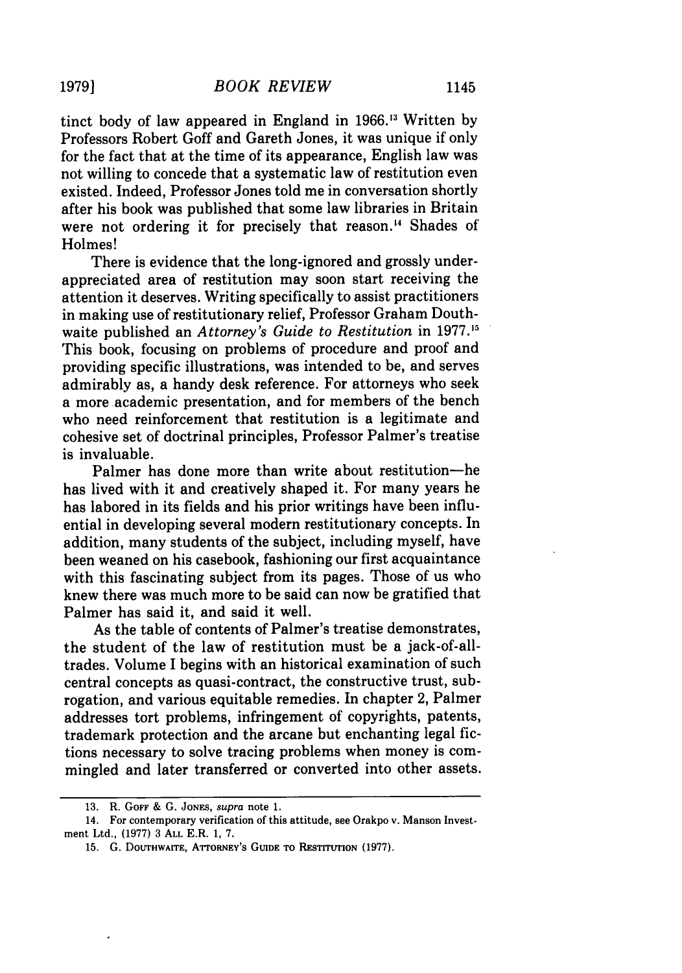tinct body of law appeared in England in 1966.<sup>13</sup> Written by Professors Robert Goff and Gareth Jones, it was unique if only for the fact that at the time of its appearance, English law was not willing to concede that a systematic law of restitution even existed. Indeed, Professor Jones told me in conversation shortly after his book was published that some law libraries in Britain were not ordering it for precisely that reason.<sup>14</sup> Shades of Holmes!

There is evidence that the long-ignored and grossly underappreciated area of restitution may soon start receiving the attention it deserves. Writing specifically to assist practitioners in making use of restitutionary relief, Professor Graham Douthwaite published an *Attorney's Guide to Restitution* in **1977.1"** This book, focusing on problems of procedure and proof and providing specific illustrations, was intended to be, and serves admirably as, a handy desk reference. For attorneys who seek a more academic presentation, and for members of the bench who need reinforcement that restitution is a legitimate and cohesive set of doctrinal principles, Professor Palmer's treatise is invaluable.

Palmer has done more than write about restitution-he has lived with it and creatively shaped it. For many years he has labored in its fields and his prior writings have been influential in developing several modern restitutionary concepts. In addition, many students of the subject, including myself, have been weaned on his casebook, fashioning our first acquaintance with this fascinating subject from its pages. Those of us who knew there was much more to be said can now be gratified that Palmer has said it, and said it well.

As the table of contents of Palmer's treatise demonstrates, the student of the law of restitution must be a jack-of-alltrades. Volume I begins with an historical examination of such central concepts as quasi-contract, the constructive trust, subrogation, and various equitable remedies. In chapter 2, Palmer addresses tort problems, infringement of copyrights, patents, trademark protection and the arcane but enchanting legal fictions necessary to solve tracing problems when money is commingled and later transferred or converted into other assets.

**<sup>13.</sup>** R. **GOFF** & **G. JONES,** supra note **1.**

<sup>14.</sup> For contemporary verification of this attitude, see Orakpo v. Manson Investment Ltd., **(1977) 3 ALL** E.R. **1, 7.**

**<sup>15.</sup> G.** DOUTHWAITE, ATrORNEY'S **GUIDE** TO RESTITUTION **(1977).**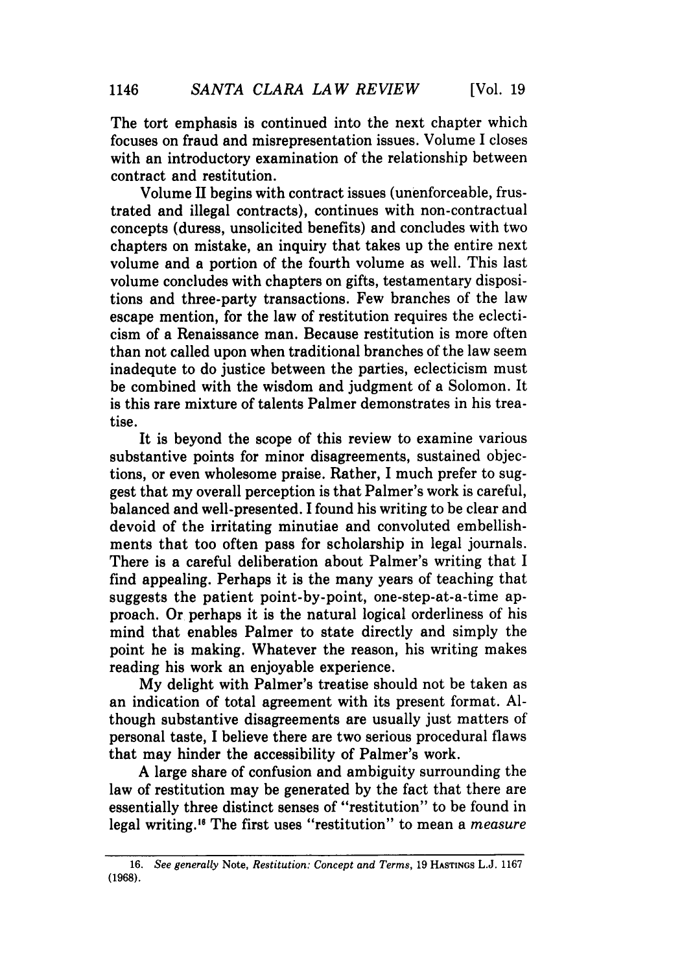The tort emphasis is continued into the next chapter which focuses on fraud and misrepresentation issues. Volume I closes with an introductory examination of the relationship between contract and restitution.

Volume II begins with contract issues (unenforceable, frustrated and illegal contracts), continues with non-contractual concepts (duress, unsolicited benefits) and concludes with two chapters on mistake, an inquiry that takes up the entire next volume and a portion of the fourth volume as well. This last volume concludes with chapters on gifts, testamentary dispositions and three-party transactions. Few branches of the law escape mention, for the law of restitution requires the eclecticism of a Renaissance man. Because restitution is more often than not called upon when traditional branches of the law seem inadequte to do justice between the parties, eclecticism must be combined with the wisdom and judgment of a Solomon. It is this rare mixture of talents Palmer demonstrates in his treatise.

It is beyond the scope of this review to examine various substantive points for minor disagreements, sustained objections, or even wholesome praise. Rather, I much prefer to suggest that my overall perception is that Palmer's work is careful, balanced and well-presented. I found his writing to be clear and devoid of the irritating minutiae and convoluted embellishments that too often pass for scholarship in legal journals. There is a careful deliberation about Palmer's writing that I find appealing. Perhaps it is the many years of teaching that suggests the patient point-by-point, one-step-at-a-time approach. Or perhaps it is the natural logical orderliness of his mind that enables Palmer to state directly and simply the point he is making. Whatever the reason, his writing makes reading his work an enjoyable experience.

My delight with Palmer's treatise should not be taken as an indication of total agreement with its present format. Although substantive disagreements are usually just matters of personal taste, I believe there are two serious procedural flaws that may hinder the accessibility of Palmer's work.

A large share of confusion and ambiguity surrounding the law of restitution may be generated by the fact that there are essentially three distinct senses of "restitution" to be found in legal writing."6 The first uses "restitution" to mean a *measure*

<sup>16.</sup> *See generally* Note, *Restitution: Concept and Terms,* 19 HASTINGS L.J. 1167 **(1968).**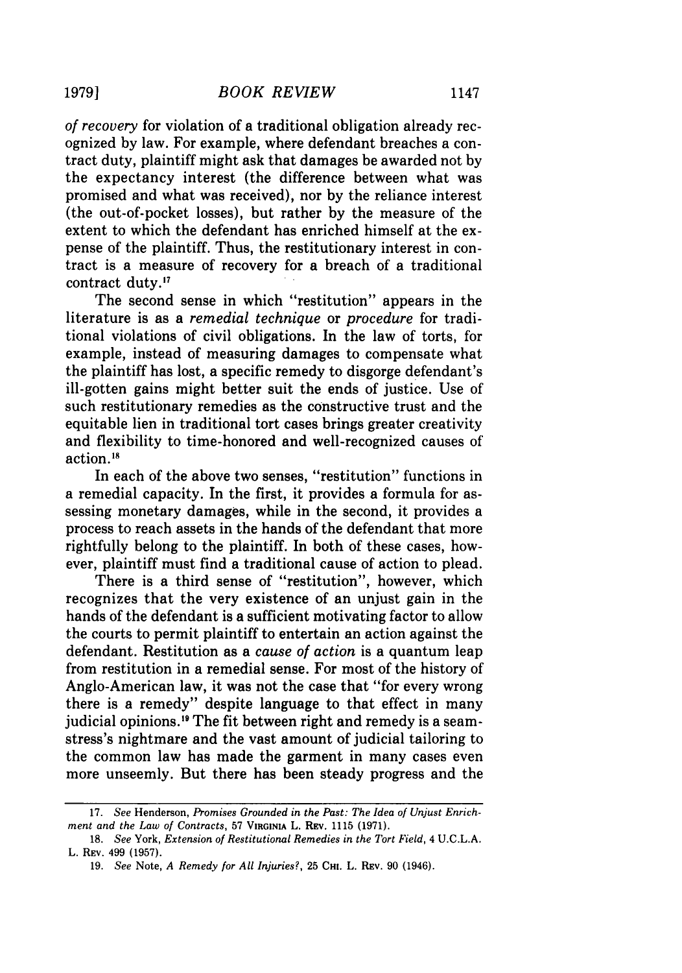of recovery for violation of a traditional obligation already recognized by law. For example, where defendant breaches a contract duty, plaintiff might ask that damages be awarded not by the expectancy interest (the difference between what was promised and what was received), nor by the reliance interest (the out-of-pocket losses), but rather by the measure of the extent to which the defendant has enriched himself at the expense of the plaintiff. Thus, the restitutionary interest in contract is a measure of recovery for a breach of a traditional contract duty."

The second sense in which "restitution" appears in the literature is as a *remedial technique* or *procedure* for traditional violations of civil obligations. In the law of torts, for example, instead of measuring damages to compensate what the plaintiff has lost, a specific remedy to disgorge defendant's ill-gotten gains might better suit the ends of justice. Use of such restitutionary remedies as the constructive trust and the equitable lien in traditional tort cases brings greater creativity and flexibility to time-honored and well-recognized causes of action.<sup>18</sup>

In each of the above two senses, "restitution" functions in a remedial capacity. In the first, it provides a formula for assessing monetary damages, while in the second, it provides a process to reach assets in the hands of the defendant that more rightfully belong to the plaintiff. In both of these cases, however, plaintiff must find a traditional cause of action to plead.

There is a third sense of "restitution", however, which recognizes that the very existence of an unjust gain in the hands of the defendant is a sufficient motivating factor to allow the courts to permit plaintiff to entertain an action against the defendant. Restitution as a *cause of action* is a quantum leap from restitution in a remedial sense. For most of the history of Anglo-American law, it was not the case that "for every wrong there is a remedy" despite language to that effect in many judicial opinions.<sup>19</sup> The fit between right and remedy is a seamstress's nightmare and the vast amount of judicial tailoring to the common law has made the garment in many cases even more unseemly. But there has been steady progress and the

<sup>17.</sup> *See* Henderson, *Promises Grounded in the Past: The Idea of Unjust Enrichment and the Law of Contracts,* 57 **VIRGINIA** L. **REV.** 1115 (1971).

<sup>18.</sup> *See* York, *Extension of Restitutional Remedies in the Tort Field,* 4 U.C.L.A. L. REV. 499 **(1957).**

<sup>19.</sup> *See* Note, *A Remedy for All Injuries?,* 25 **Cm.** L. REV. 90 (1946).